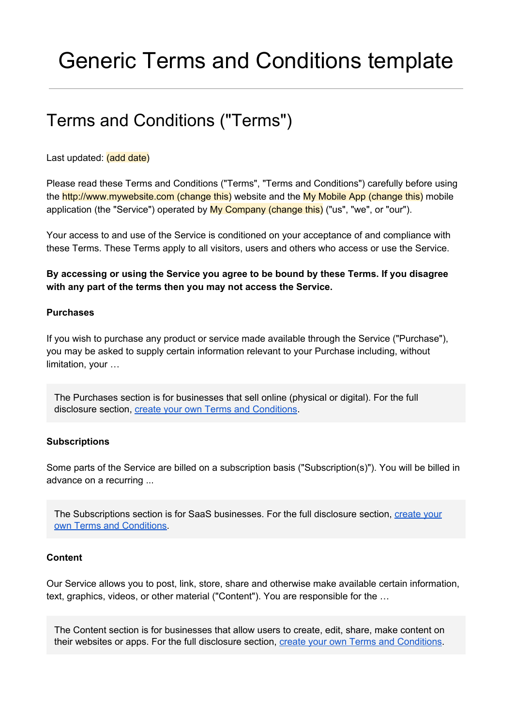# Generic Terms and Conditions template

# Terms and Conditions ("Terms")

Last updated: (add date)

Please read these Terms and Conditions ("Terms", "Terms and Conditions") carefully before using the http://www.mywebsite.com (change this) website and the My Mobile App (change this) mobile application (the "Service") operated by My Company (change this) ("us", "we", or "our").

Your access to and use of the Service is conditioned on your acceptance of and compliance with these Terms. These Terms apply to all visitors, users and others who access or use the Service.

**By accessing or using the Service you agree to be bound by these Terms. If you disagree with any part of the terms then you may not access the Service.**

# **Purchases**

If you wish to purchase any product or service made available through the Service ("Purchase"), you may be asked to supply certain information relevant to your Purchase including, without limitation, your …

The Purchases section is for businesses that sell online (physical or digital). For the full disclosure section, create your own Terms and [Conditions.](https://termsfeed.com/terms-conditions/generator/?utm_source=Generic&utm_medium=PDF&utm_campaign=TC+Templates&utm_nooverride=1)

#### **Subscriptions**

Some parts of the Service are billed on a subscription basis ("Subscription(s)"). You will be billed in advance on a recurring ...

The Subscriptions section is for SaaS businesses. For the full disclosure section, [create](https://termsfeed.com/terms-conditions/generator/?utm_source=Generic&utm_medium=PDF&utm_campaign=TC+Templates&utm_nooverride=1) your own Terms and [Conditions.](https://termsfeed.com/terms-conditions/generator/?utm_source=Generic&utm_medium=PDF&utm_campaign=TC+Templates&utm_nooverride=1)

#### **Content**

Our Service allows you to post, link, store, share and otherwise make available certain information, text, graphics, videos, or other material ("Content"). You are responsible for the …

The Content section is for businesses that allow users to create, edit, share, make content on their websites or apps. For the full disclosure section, create your own Terms and [Conditions.](https://termsfeed.com/terms-conditions/generator/?utm_source=Generic&utm_medium=PDF&utm_campaign=TC+Templates&utm_nooverride=1)